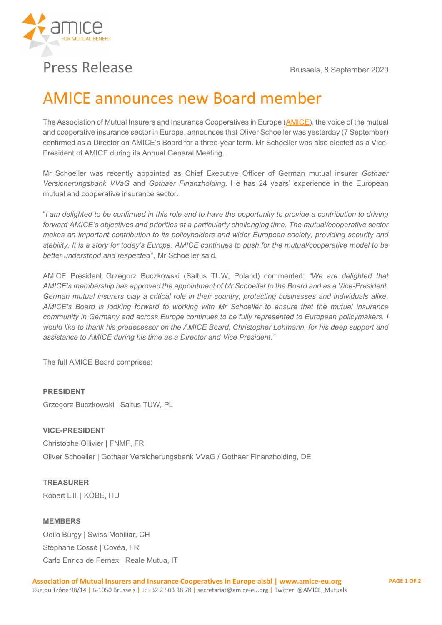



**Press Release** Brussels, 8 September 2020

# AMICE announces new Board member

The Association of Mutual Insurers and Insurance Cooperatives in Europe [\(AMICE\)](http://www.amice-eu.org/), the voice of the mutual and cooperative insurance sector in Europe, announces that Oliver Schoeller was yesterday (7 September) confirmed as a Director on AMICE's Board for a three-year term. Mr Schoeller was also elected as a Vice-President of AMICE during its Annual General Meeting.

Mr Schoeller was recently appointed as Chief Executive Officer of German mutual insurer *Gothaer Versicherungsbank VVaG* and *Gothaer Finanzholding*. He has 24 years' experience in the European mutual and cooperative insurance sector.

"*I am delighted to be confirmed in this role and to have the opportunity to provide a contribution to driving forward AMICE's objectives and priorities at a particularly challenging time. The mutual/cooperative sector makes an important contribution to its policyholders and wider European society, providing security and stability. It is a story for today's Europe. AMICE continues to push for the mutual/cooperative model to be better understood and respected'*', Mr Schoeller said.

AMICE President Grzegorz Buczkowski (Saltus TUW, Poland) commented: *"We are delighted that AMICE's membership has approved the appointment of Mr Schoeller to the Board and as a Vice-President. German mutual insurers play a critical role in their country, protecting businesses and individuals alike. AMICE's Board is looking forward to working with Mr Schoeller to ensure that the mutual insurance community in Germany and across Europe continues to be fully represented to European policymakers. I would like to thank his predecessor on the AMICE Board, Christopher Lohmann, for his deep support and assistance to AMICE during his time as a Director and Vice President."*

The full AMICE Board comprises:

## **PRESIDENT**

Grzegorz Buczkowski | Saltus TUW, PL

#### **VICE-PRESIDENT**

Christophe Ollivier | FNMF, FR Oliver Schoeller | Gothaer Versicherungsbank VVaG / Gothaer Finanzholding, DE

## **TREASURER** Róbert Lilli | KÖBE, HU

**MEMBERS**

Odilo Bürgy | Swiss Mobiliar, CH Stéphane Cossé | Covéa, FR Carlo Enrico de Fernex | Reale Mutua, IT